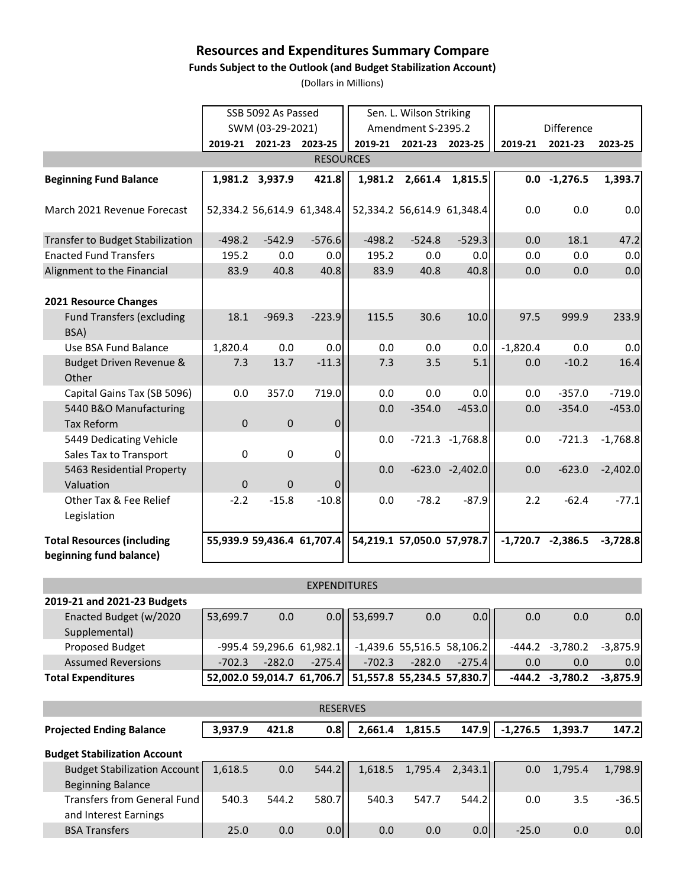# **Resources and Expenditures Summary Compare**

### **Funds Subject to the Outlook (and Budget Stabilization Account)**

(Dollars in Millions)

|                                                              | SSB 5092 As Passed |                  |                            | Sen. L. Wilson Striking |                            |                            |            |                |            |
|--------------------------------------------------------------|--------------------|------------------|----------------------------|-------------------------|----------------------------|----------------------------|------------|----------------|------------|
|                                                              |                    | SWM (03-29-2021) |                            |                         | Amendment S-2395.2         |                            | Difference |                |            |
|                                                              |                    | 2019-21 2021-23  | 2023-25                    | 2019-21                 | 2021-23                    | 2023-25                    | 2019-21    | 2021-23        | 2023-25    |
| <b>RESOURCES</b>                                             |                    |                  |                            |                         |                            |                            |            |                |            |
| <b>Beginning Fund Balance</b>                                |                    | 1,981.2 3,937.9  | 421.8                      | 1,981.2                 | 2,661.4                    | 1,815.5                    |            | $0.0 -1,276.5$ | 1,393.7    |
| March 2021 Revenue Forecast                                  |                    |                  | 52,334.2 56,614.9 61,348.4 |                         |                            | 52,334.2 56,614.9 61,348.4 | 0.0        | 0.0            | 0.0        |
| <b>Transfer to Budget Stabilization</b>                      | $-498.2$           | $-542.9$         | $-576.6$                   | $-498.2$                | $-524.8$                   | $-529.3$                   | 0.0        | 18.1           | 47.2       |
| <b>Enacted Fund Transfers</b>                                | 195.2              | 0.0              | 0.0                        | 195.2                   | 0.0                        | 0.0                        | 0.0        | 0.0            | 0.0        |
| Alignment to the Financial                                   | 83.9               | 40.8             | 40.8                       | 83.9                    | 40.8                       | 40.8                       | 0.0        | 0.0            | 0.0        |
| 2021 Resource Changes                                        |                    |                  |                            |                         |                            |                            |            |                |            |
| <b>Fund Transfers (excluding</b><br>BSA)                     | 18.1               | $-969.3$         | $-223.9$                   | 115.5                   | 30.6                       | 10.0                       | 97.5       | 999.9          | 233.9      |
| Use BSA Fund Balance                                         | 1,820.4            | 0.0              | 0.0                        | 0.0                     | 0.0                        | 0.0                        | $-1,820.4$ | 0.0            | 0.0        |
| Budget Driven Revenue &<br>Other                             | 7.3                | 13.7             | $-11.3$                    | 7.3                     | 3.5                        | 5.1                        | 0.0        | $-10.2$        | 16.4       |
| Capital Gains Tax (SB 5096)                                  | 0.0                | 357.0            | 719.0                      | 0.0                     | 0.0                        | 0.0                        | 0.0        | $-357.0$       | $-719.0$   |
| 5440 B&O Manufacturing<br><b>Tax Reform</b>                  | $\pmb{0}$          | $\pmb{0}$        | 0                          | 0.0                     | $-354.0$                   | $-453.0$                   | 0.0        | $-354.0$       | $-453.0$   |
| 5449 Dedicating Vehicle<br>Sales Tax to Transport            | 0                  | 0                | 0                          | 0.0                     |                            | $-721.3 -1,768.8$          | 0.0        | $-721.3$       | $-1,768.8$ |
| 5463 Residential Property<br>Valuation                       | $\mathbf{0}$       | $\mathbf 0$      | 0                          | 0.0                     |                            | $-623.0 -2,402.0$          | 0.0        | $-623.0$       | $-2,402.0$ |
| Other Tax & Fee Relief<br>Legislation                        | $-2.2$             | $-15.8$          | $-10.8$                    | 0.0                     | $-78.2$                    | $-87.9$                    | 2.2        | $-62.4$        | $-77.1$    |
| <b>Total Resources (including</b><br>beginning fund balance) |                    |                  | 55,939.9 59,436.4 61,707.4 |                         | 54,219.1 57,050.0 57,978.7 |                            | $-1,720.7$ | $-2,386.5$     | $-3,728.8$ |

#### EXPENDITURES

| 2019-21 and 2021-23 Budgets |          |          |                            |                                                         |          |                              |          |                   |            |
|-----------------------------|----------|----------|----------------------------|---------------------------------------------------------|----------|------------------------------|----------|-------------------|------------|
| Enacted Budget (w/2020      | 53,699.7 | 0.0      |                            | $0.0$ 53,699.7                                          | 0.0      | 0.0 <sub>1</sub>             | 0.0      | 0.0               | 0.0        |
| Supplemental)               |          |          |                            |                                                         |          |                              |          |                   |            |
| Proposed Budget             |          |          | $-995.4$ 59,296.6 61,982.1 |                                                         |          | $-1,439.6$ 55,516.5 58,106.2 |          | $-444.2 -3,780.2$ | $-3,875.9$ |
| <b>Assumed Reversions</b>   | $-702.3$ | $-282.0$ | $-275.4$                   | $-702.3$                                                | $-282.0$ | $-275.4$                     | 0.0      | 0.0               | 0.0        |
| <b>Total Expenditures</b>   |          |          |                            | 52,002.0 59,014.7 61,706.7   51,557.8 55,234.5 57,830.7 |          |                              | $-444.2$ | -3,780.2          | $-3,875.9$ |

| <b>RESERVES</b>                                                 |  |         |       |                  |         |         |                     |            |         |         |
|-----------------------------------------------------------------|--|---------|-------|------------------|---------|---------|---------------------|------------|---------|---------|
| <b>Projected Ending Balance</b>                                 |  | 3.937.9 | 421.8 | 0.8 <sub>l</sub> | 2.661.4 | 1.815.5 | 147.9               | $-1,276.5$ | 1.393.7 | 147.2   |
| <b>Budget Stabilization Account</b>                             |  |         |       |                  |         |         |                     |            |         |         |
| <b>Budget Stabilization Account</b><br><b>Beginning Balance</b> |  | 1,618.5 | 0.0   | 544.2            | 1,618.5 |         | $1,795.4$ $2,343.1$ | 0.0        | 1,795.4 | 1,798.9 |
| <b>Transfers from General Fund</b><br>and Interest Earnings     |  | 540.3   | 544.2 | 580.7            | 540.3   | 547.7   | 544.2               | 0.0        | 3.5     | $-36.5$ |
| <b>BSA Transfers</b>                                            |  | 25.0    | 0.0   | 0.0              | 0.0     | 0.0     | 0.0                 | $-25.0$    | 0.0     | 0.0     |